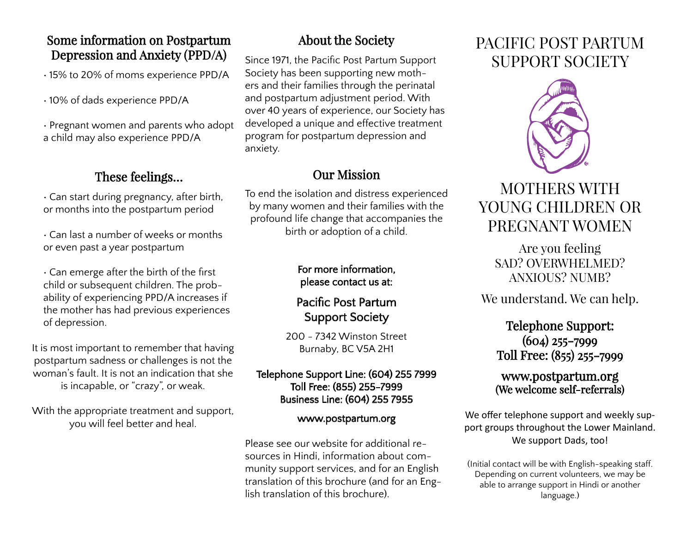### Some information on Postpartum Depression and Anxiety (PPD/A)

• 15% to 20% of moms experience PPD/A

• 10% of dads experience PPD/A

• Pregnant women and parents who adopt a child may also experience PPD/A

## These feelings…

• Can start during pregnancy, after birth, or months into the postpartum period

• Can last a number of weeks or months or even past a year postpartum

• Can emerge after the birth of the first child or subsequent children. The probability of experiencing PPD/A increases if the mother has had previous experiences of depression.

It is most important to remember that having postpartum sadness or challenges is not the woman's fault. It is not an indication that she is incapable, or "crazy", or weak.

With the appropriate treatment and support, you will feel better and heal.

## About the Society

Since 1971, the Pacific Post Partum Support Society has been supporting new mothers and their families through the perinatal and postpartum adjustment period. With over 40 years of experience, our Society has developed a unique and effective treatment program for postpartum depression and anxiety.

## Our Mission

To end the isolation and distress experienced by many women and their families with the profound life change that accompanies the birth or adoption of a child.

### For more information, please contact us at:

## Pacific Post Partum Support Society

200 - 7342 Winston Street Burnaby, BC V5A 2H1

#### Telephone Support Line: (604) 255 7999 Toll Free: (855) 255-7999 Business Line: (604) 255 7955

### www.postpartum.org

Please see our website for additional resources in Hindi, information about community support services, and for an English translation of this brochure (and for an English translation of this brochure).

# PACIFIC POST PARTUM SUPPORT SOCIETY



# MOTHERS WITH YOUNG CHILDREN OR PREGNANT WOMEN

Are you feeling SAD? OVERWHELMED? ANXIOUS? NUMB?

We understand. We can help.

### Telephone Support: (604) 255-7999 Toll Free: (855) 255-7999

### www.postpartum.org (We welcome self-referrals)

We offer telephone support and weekly support groups throughout the Lower Mainland. We support Dads, too!

(Initial contact will be with English-speaking staff. Depending on current volunteers, we may be able to arrange support in Hindi or another language.)